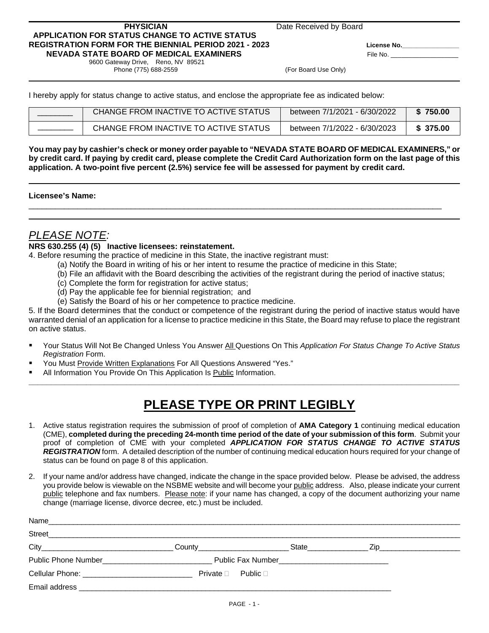#### **PHYSICIAN** Date Received by Board  **APPLICATION FOR STATUS CHANGE TO ACTIVE STATUS REGISTRATION FORM FOR THE BIENNIAL PERIOD 2021 - 2023 License No.\_\_\_\_\_\_\_\_\_\_\_\_\_\_\_\_ NEVADA STATE BOARD OF MEDICAL EXAMINERS** File No.

 9600 Gateway Drive, Reno, NV 89521 Phone (775) 688-2559 (For Board Use Only)

I hereby apply for status change to active status, and enclose the appropriate fee as indicated below:

| CHANGE FROM INACTIVE TO ACTIVE STATUS | between 7/1/2021 - 6/30/2022 | 750.00   |
|---------------------------------------|------------------------------|----------|
| CHANGE FROM INACTIVE TO ACTIVE STATUS | between 7/1/2022 - 6/30/2023 | \$375.00 |

**You may pay by cashier's check or money order payable to "NEVADA STATE BOARD OF MEDICAL EXAMINERS," or by credit card. If paying by credit card, please complete the Credit Card Authorization form on the last page of this application. A two-point five percent (2.5%) service fee will be assessed for payment by credit card.**

\_\_\_\_\_\_\_\_\_\_\_\_\_\_\_\_\_\_\_\_\_\_\_\_\_\_\_\_\_\_\_\_\_\_\_\_\_\_\_\_\_\_\_\_\_\_\_\_\_\_\_\_\_\_\_\_\_\_\_\_\_\_\_\_\_\_\_\_\_\_\_\_\_\_\_\_\_\_\_\_\_\_\_\_\_\_\_\_\_\_\_\_\_

#### **Licensee's Name:**

## *PLEASE NOTE:*

#### **NRS 630.255 (4) (5) Inactive licensees: reinstatement.**

4. Before resuming the practice of medicine in this State, the inactive registrant must:

- (a) Notify the Board in writing of his or her intent to resume the practice of medicine in this State;
- (b) File an affidavit with the Board describing the activities of the registrant during the period of inactive status;
- (c) Complete the form for registration for active status;
- (d) Pay the applicable fee for biennial registration; and
- (e) Satisfy the Board of his or her competence to practice medicine.

5. If the Board determines that the conduct or competence of the registrant during the period of inactive status would have warranted denial of an application for a license to practice medicine in this State, the Board may refuse to place the registrant on active status.

 Your Status Will Not Be Changed Unless You Answer All Questions On This *Application For Status Change To Active Status Registration* Form.

**\_\_\_\_\_\_\_\_\_\_\_\_\_\_\_\_\_\_\_\_\_\_\_\_\_\_\_\_\_\_\_\_\_\_\_\_\_\_\_\_\_\_\_\_\_\_\_\_\_\_\_\_\_\_\_\_\_\_\_\_\_\_\_\_\_\_\_\_\_\_\_\_\_\_\_\_\_\_\_\_\_\_\_\_\_\_\_\_\_\_\_\_\_\_\_\_\_**

- You Must Provide Written Explanations For All Questions Answered "Yes."
- All Information You Provide On This Application Is Public Information.

# **PLEASE TYPE OR PRINT LEGIBLY**

- 1. Active status registration requires the submission of proof of completion of **AMA Category 1** continuing medical education (CME), **completed during the preceding 24-month time period of the date of your submission of this form**. Submit your proof of completion of CME with your completed *APPLICATION FOR STATUS CHANGE TO ACTIVE STATUS REGISTRATION* form. A detailed description of the number of continuing medical education hours required for your change of status can be found on page 8 of this application.
- 2. If your name and/or address have changed, indicate the change in the space provided below. Please be advised, the address you provide below is viewable on the NSBME website and will become your public address. Also, please indicate your current public telephone and fax numbers. Please note: if your name has changed, a copy of the document authorizing your name change (marriage license, divorce decree, etc.) must be included.

| Name<br><u> 1989 - Johann Stoff, deutscher Stoff, der Stoff, der Stoff, der Stoff, der Stoff, der Stoff, der Stoff, der S</u>                                                                                                                            |                                     |                    |                                                |  |
|----------------------------------------------------------------------------------------------------------------------------------------------------------------------------------------------------------------------------------------------------------|-------------------------------------|--------------------|------------------------------------------------|--|
| <b>Street</b>                                                                                                                                                                                                                                            |                                     |                    |                                                |  |
| $City$ and $(x)$ and $(x)$ and $(x)$ and $(x)$ and $(x)$ and $(x)$ and $(x)$ and $(x)$ and $(x)$ and $(x)$ and $(x)$ and $(x)$ and $(x)$ and $(x)$ and $(x)$ and $(x)$ and $(x)$ and $(x)$ and $(x)$ and $(x)$ and $(x)$ and $(x)$ and $(x)$ and $(x)$ a | $\mathsf{Country} \_\_\_\_\_\_\_\_$ | State <b>State</b> |                                                |  |
| <b>Public Phone Number Example 2014</b>                                                                                                                                                                                                                  |                                     |                    | Public Fax Number ____________________________ |  |
|                                                                                                                                                                                                                                                          | Private $\Box$ Public $\Box$        |                    |                                                |  |
| Email address <b>contract to the contract of the contract of the contract of the contract of the contract of the contract of the contract of the contract of the contract of the contract of the contract of the contract of the</b>                     |                                     |                    |                                                |  |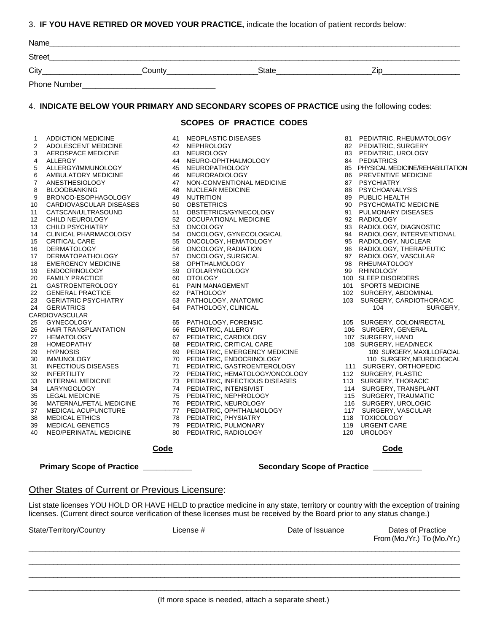3. **IF YOU HAVE RETIRED OR MOVED YOUR PRACTICE,** indicate the location of patient records below:

|                                                                                                                                                                                                                                     | Name_                                                                                                                                                                                                                                                                                                                                                                                                                                                                                                                                                                                                                                                                                                                                                                                                                                                                                                                                                                                                     |                                  |                                                                                                                                                                                                                                                                                                                                                                                                                                                                                                                                                                                                                                                                                                                                                                                                                                                                                                                                                                                                                                        |                          |                                                                                                                                                                                                                                                                                                                                                                                                                                                                                                                                                                                                                                                                                                                                                                                                                                                                                                                                                                                                                  |
|-------------------------------------------------------------------------------------------------------------------------------------------------------------------------------------------------------------------------------------|-----------------------------------------------------------------------------------------------------------------------------------------------------------------------------------------------------------------------------------------------------------------------------------------------------------------------------------------------------------------------------------------------------------------------------------------------------------------------------------------------------------------------------------------------------------------------------------------------------------------------------------------------------------------------------------------------------------------------------------------------------------------------------------------------------------------------------------------------------------------------------------------------------------------------------------------------------------------------------------------------------------|----------------------------------|----------------------------------------------------------------------------------------------------------------------------------------------------------------------------------------------------------------------------------------------------------------------------------------------------------------------------------------------------------------------------------------------------------------------------------------------------------------------------------------------------------------------------------------------------------------------------------------------------------------------------------------------------------------------------------------------------------------------------------------------------------------------------------------------------------------------------------------------------------------------------------------------------------------------------------------------------------------------------------------------------------------------------------------|--------------------------|------------------------------------------------------------------------------------------------------------------------------------------------------------------------------------------------------------------------------------------------------------------------------------------------------------------------------------------------------------------------------------------------------------------------------------------------------------------------------------------------------------------------------------------------------------------------------------------------------------------------------------------------------------------------------------------------------------------------------------------------------------------------------------------------------------------------------------------------------------------------------------------------------------------------------------------------------------------------------------------------------------------|
| Street                                                                                                                                                                                                                              |                                                                                                                                                                                                                                                                                                                                                                                                                                                                                                                                                                                                                                                                                                                                                                                                                                                                                                                                                                                                           |                                  | <u> 1989 - Johann Stoff, die staatskriuw fan de Amerikaansk kommunister († 1908)</u>                                                                                                                                                                                                                                                                                                                                                                                                                                                                                                                                                                                                                                                                                                                                                                                                                                                                                                                                                   |                          |                                                                                                                                                                                                                                                                                                                                                                                                                                                                                                                                                                                                                                                                                                                                                                                                                                                                                                                                                                                                                  |
| $City_$                                                                                                                                                                                                                             |                                                                                                                                                                                                                                                                                                                                                                                                                                                                                                                                                                                                                                                                                                                                                                                                                                                                                                                                                                                                           |                                  |                                                                                                                                                                                                                                                                                                                                                                                                                                                                                                                                                                                                                                                                                                                                                                                                                                                                                                                                                                                                                                        |                          |                                                                                                                                                                                                                                                                                                                                                                                                                                                                                                                                                                                                                                                                                                                                                                                                                                                                                                                                                                                                                  |
|                                                                                                                                                                                                                                     |                                                                                                                                                                                                                                                                                                                                                                                                                                                                                                                                                                                                                                                                                                                                                                                                                                                                                                                                                                                                           |                                  |                                                                                                                                                                                                                                                                                                                                                                                                                                                                                                                                                                                                                                                                                                                                                                                                                                                                                                                                                                                                                                        |                          |                                                                                                                                                                                                                                                                                                                                                                                                                                                                                                                                                                                                                                                                                                                                                                                                                                                                                                                                                                                                                  |
|                                                                                                                                                                                                                                     |                                                                                                                                                                                                                                                                                                                                                                                                                                                                                                                                                                                                                                                                                                                                                                                                                                                                                                                                                                                                           |                                  |                                                                                                                                                                                                                                                                                                                                                                                                                                                                                                                                                                                                                                                                                                                                                                                                                                                                                                                                                                                                                                        |                          |                                                                                                                                                                                                                                                                                                                                                                                                                                                                                                                                                                                                                                                                                                                                                                                                                                                                                                                                                                                                                  |
|                                                                                                                                                                                                                                     |                                                                                                                                                                                                                                                                                                                                                                                                                                                                                                                                                                                                                                                                                                                                                                                                                                                                                                                                                                                                           |                                  | 4. INDICATE BELOW YOUR PRIMARY AND SECONDARY SCOPES OF PRACTICE using the following codes:                                                                                                                                                                                                                                                                                                                                                                                                                                                                                                                                                                                                                                                                                                                                                                                                                                                                                                                                             |                          |                                                                                                                                                                                                                                                                                                                                                                                                                                                                                                                                                                                                                                                                                                                                                                                                                                                                                                                                                                                                                  |
|                                                                                                                                                                                                                                     |                                                                                                                                                                                                                                                                                                                                                                                                                                                                                                                                                                                                                                                                                                                                                                                                                                                                                                                                                                                                           |                                  | <b>SCOPES OF PRACTICE CODES</b>                                                                                                                                                                                                                                                                                                                                                                                                                                                                                                                                                                                                                                                                                                                                                                                                                                                                                                                                                                                                        |                          |                                                                                                                                                                                                                                                                                                                                                                                                                                                                                                                                                                                                                                                                                                                                                                                                                                                                                                                                                                                                                  |
| 1<br>2<br>3<br>4<br>5<br>6<br>7<br>8<br>9<br>10<br>11<br>12<br>13<br>14<br>15<br>16<br>17<br>18<br>19<br>20<br>21<br>22<br>23<br>24<br>25<br>26<br>27<br>28<br>29<br>30<br>31<br>32<br>33<br>34<br>35<br>36<br>37<br>38<br>39<br>40 | ADDICTION MEDICINE<br>ADOLESCENT MEDICINE<br>AEROSPACE MEDICINE<br>ALLERGY<br>ALLERGY/IMMUNOLOGY<br>AMBULATORY MEDICINE<br>ANESTHESIOLOGY<br><b>BLOODBANKING</b><br>BRONCO-ESOPHAGOLOGY<br>CARDIOVASCULAR DISEASES<br>CATSCAN/ULTRASOUND<br>CATSCAN/ULTRASOUND<br>CHILD NEUROLOGY<br>CHILD PSYCHIATRY<br>CLINICAL PHARMACOLOGY<br><b>CRITICAL CARE</b><br><b>DERMATOLOGY</b><br>DERMATOPATHOLOGY<br><b>EMERGENCY MEDICINE</b><br><b>ENDOCRINOLOGY</b><br><b>FAMILY PRACTICE</b><br>GASTROENTEROLOGY<br><b>GENERAL PRACTICE</b><br><b>GERIATRIC PSYCHIATRY</b><br><b>GERIATRICS</b><br><b>CARDIOVASCULAR</b><br><b>GYNECOLOGY</b><br>HAIR TRANSPLANTATION<br><b>HEMATOLOGY</b><br><b>HOMEOPATHY</b><br><b>HYPNOSIS</b><br><b>IMMUNOLOGY</b><br><b>INFECTIOUS DISEASES</b><br><b>INFERTILITY</b><br><b>INTERNAL MEDICINE</b><br>LARYNGOLOGY<br><b>LEGAL MEDICINE</b><br>MATERNAL/FETAL MEDICINE<br><b>MEDICAL ACUPUNCTURE</b><br><b>MEDICAL ETHICS</b><br><b>MEDICAL GENETICS</b><br>NEO/PERINATAL MEDICINE | 75<br>76<br>77<br>78<br>79<br>80 | 41 NEOPLASTIC DISEASES<br>42 NEPHROLOGY<br>43 NEUROLOGY<br>44 NEURO-OPHTHALMOLOGY<br>45 NEUROPATHOLOGY<br>46 NEURORADIOLOGY<br>47 NON-CONVENTIONAL MEDICINE<br>48 NUCLEAR MEDICINE<br>49 NUTRITION<br>50 OBSTETRICS<br>51 OBSTETRICS/GYNECOLOGY<br>52 OCCUPATIONAL MEDICINE<br>53 ONCOLOGY<br>54 ONCOLOGY, GYNECOLOGICAL<br>55 ONCOLOGY, HEMATOLOGY<br>56 ONCOLOGY, RADIATION<br>57 ONCOLOGY, SURGICAL<br>58 OPHTHALMOLOGY<br>59 OTOLARYNGOLOGY<br>60 OTOLOGY<br>61 PAIN MANAGEMENT<br>62 PATHOLOGY<br>63 PATHOLOGY, ANATOMIC<br>64 PATHOLOGY, CLINICAL<br>65 PATHOLOGY, FORENSIC<br>66 PEDIATRIC, ALLERGY<br>67 PEDIATRIC, CARDIOLOGY<br>68 PEDIATRIC, CRITICAL CARE<br>69 PEDIATRIC, EMERGENCY MEDICINE<br>70 PEDIATRIC, ENDOCRINOLOGY<br>71 PEDIATRIC, GASTROENTEROLOGY<br>72 PEDIATRIC, HEMATOLOGY/ONCOLOGY<br>73 PEDIATRIC, INFECTIOUS DISEASES<br>74 PEDIATRIC, INTENSIVIST<br>PEDIATRIC, NEPHROLOGY<br>PEDIATRIC, NEUROLOGY<br>PEDIATRIC, OPHTHALMOLOGY<br>PEDIATRIC, PHYSIATRY<br>PEDIATRIC, PULMONARY<br>PEDIATRIC, RADIOLOGY | 117<br>118<br>119<br>120 | 81 PEDIATRIC, RHEUMATOLOGY<br>82 PEDIATRIC, SURGERY<br>83 PEDIATRIC, UROLOGY<br>84 PEDIATRICS<br>85 PHYSICAL MEDICINE/REHABILITATION<br>86 PREVENTIVE MEDICINE<br>87 PSYCHIATRY<br>88 PSYCHOANALYSIS<br>89 PUBLIC HEALTH<br>90 PSYCHOMATIC MEDICINE<br>91 PULMONARY DISEASES<br>92 RADIOLOGY<br>93 RADIOLOGY, DIAGNOSTIC<br>94 RADIOLOGY, INTERVENTIONAL<br>95 RADIOLOGY, NUCLEAR<br>96 RADIOLOGY, THERAPEUTIC<br>97 RADIOLOGY, VASCULAR<br>98 RHEUMATOLOGY<br>99 RHINOLOGY<br>100 SLEEP DISORDERS<br>101 SPORTS MEDICINE<br>102 SURGERY, ABDOMINAL<br>103 SURGERY, CARDIOTHORACIC<br>104<br>SURGERY,<br>105 SURGERY, COLON/RECTAL<br>106 SURGERY, GENERAL<br>107 SURGERY, HAND<br>108 SURGERY, HEAD/NECK<br>109 SURGERY, MAXILLOFACIAL<br>110 SURGERY, NEUROLOGICAL<br>111 SURGERY, ORTHOPEDIC<br>112 SURGERY, PLASTIC<br>113 SURGERY, THORACIC<br>114 SURGERY, TRANSPLANT<br>115 SURGERY, TRAUMATIC<br>116 SURGERY, UROLOGIC<br>SURGERY, VASCULAR<br><b>TOXICOLOGY</b><br><b>URGENT CARE</b><br><b>UROLOGY</b> |
|                                                                                                                                                                                                                                     |                                                                                                                                                                                                                                                                                                                                                                                                                                                                                                                                                                                                                                                                                                                                                                                                                                                                                                                                                                                                           |                                  |                                                                                                                                                                                                                                                                                                                                                                                                                                                                                                                                                                                                                                                                                                                                                                                                                                                                                                                                                                                                                                        |                          |                                                                                                                                                                                                                                                                                                                                                                                                                                                                                                                                                                                                                                                                                                                                                                                                                                                                                                                                                                                                                  |
|                                                                                                                                                                                                                                     |                                                                                                                                                                                                                                                                                                                                                                                                                                                                                                                                                                                                                                                                                                                                                                                                                                                                                                                                                                                                           | <b>Code</b>                      |                                                                                                                                                                                                                                                                                                                                                                                                                                                                                                                                                                                                                                                                                                                                                                                                                                                                                                                                                                                                                                        |                          | <b>Code</b>                                                                                                                                                                                                                                                                                                                                                                                                                                                                                                                                                                                                                                                                                                                                                                                                                                                                                                                                                                                                      |

Primary Scope of Practice **\_\_\_\_\_\_\_\_\_\_\_\_\_** Secondary Scope of Practice **\_\_\_\_\_\_\_\_\_** 

#### Other States of Current or Previous Licensure:

List state licenses YOU HOLD OR HAVE HELD to practice medicine in any state, territory or country with the exception of training licenses. (Current direct source verification of these licenses must be received by the Board prior to any status change.)

| State/Territory/Country | License # | Date of Issuance | Dates of Practice<br>From (Mo./Yr.) To (Mo./Yr.) |
|-------------------------|-----------|------------------|--------------------------------------------------|
|                         |           |                  |                                                  |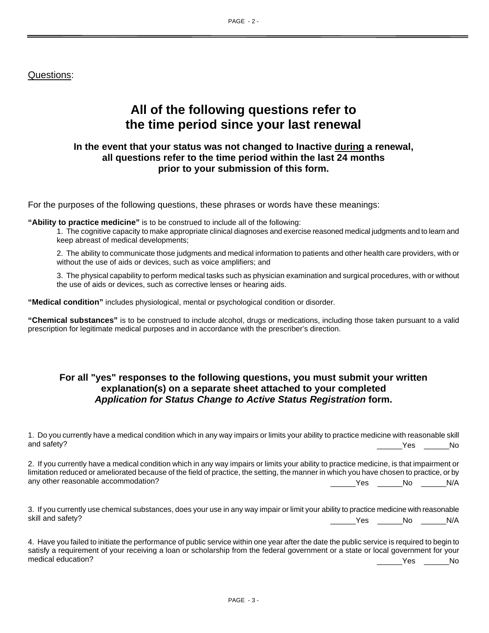## Questions:

## **All of the following questions refer to the time period since your last renewal**

#### **In the event that your status was not changed to Inactive during a renewal, all questions refer to the time period within the last 24 months prior to your submission of this form.**

For the purposes of the following questions, these phrases or words have these meanings:

**"Ability to practice medicine"** is to be construed to include all of the following:

1. The cognitive capacity to make appropriate clinical diagnoses and exercise reasoned medical judgments and to learn and keep abreast of medical developments;

2. The ability to communicate those judgments and medical information to patients and other health care providers, with or without the use of aids or devices, such as voice amplifiers; and

3. The physical capability to perform medical tasks such as physician examination and surgical procedures, with or without the use of aids or devices, such as corrective lenses or hearing aids.

**"Medical condition"** includes physiological, mental or psychological condition or disorder.

**"Chemical substances"** is to be construed to include alcohol, drugs or medications, including those taken pursuant to a valid prescription for legitimate medical purposes and in accordance with the prescriber's direction.

### **For all "yes" responses to the following questions, you must submit your written explanation(s) on a separate sheet attached to your completed** *Application for Status Change to Active Status Registration* **form.**

| 1. Do you currently have a medical condition which in any way impairs or limits your ability to practice medicine with reasonable skill<br>and safety?                                                                                                                              |                                   | a a Mondon Mondo Mondo Mondo Mondo Mondo Mondo Mondo Mondo Mondo Mondo Mondo Mondo Mondo Mondo Mondo Mondo Mon<br>Mondo Mondo Mondo Mondo Mondo Mondo Mondo Mondo Mondo Mondo Mondo Mondo Mondo Mondo Mondo Mondo Mondo Mondo Mo<br> |     |
|-------------------------------------------------------------------------------------------------------------------------------------------------------------------------------------------------------------------------------------------------------------------------------------|-----------------------------------|--------------------------------------------------------------------------------------------------------------------------------------------------------------------------------------------------------------------------------------|-----|
| 2. If you currently have a medical condition which in any way impairs or limits your ability to practice medicine, is that impairment or<br>limitation reduced or ameliorated because of the field of practice, the setting, the manner in which you have chosen to practice, or by |                                   |                                                                                                                                                                                                                                      |     |
| any other reasonable accommodation?                                                                                                                                                                                                                                                 | <b>Example 19 Yes No. No. N/A</b> |                                                                                                                                                                                                                                      |     |
| 3. If you currently use chemical substances, does your use in any way impair or limit your ability to practice medicine with reasonable                                                                                                                                             |                                   |                                                                                                                                                                                                                                      |     |
| skill and safety?                                                                                                                                                                                                                                                                   |                                   | Yes No                                                                                                                                                                                                                               | N/A |

| 4. Have you failed to initiate the performance of public service within one year after the date the public service is required to begin to |      |     |
|--------------------------------------------------------------------------------------------------------------------------------------------|------|-----|
| satisfy a requirement of your receiving a loan or scholarship from the federal government or a state or local government for your          |      |     |
| medical education?                                                                                                                         | Yes. | No. |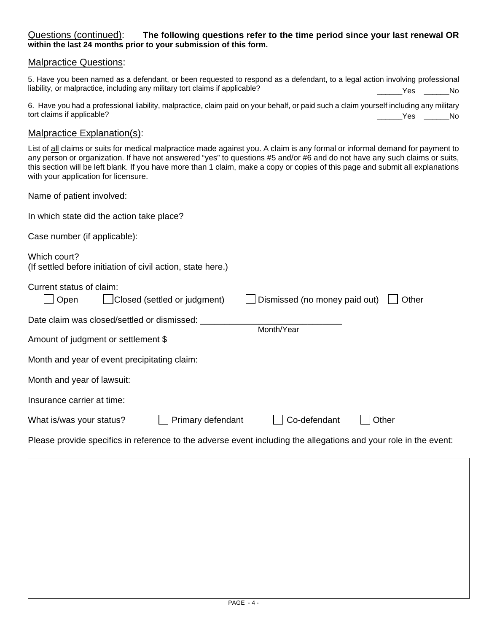#### Questions (continued): **The following questions refer to the time period since your last renewal OR within the last 24 months prior to your submission of this form.**

#### Malpractice Questions:

| 5. Have you been named as a defendant, or been requested to respond as a defendant, to a legal action involving professional |                |
|------------------------------------------------------------------------------------------------------------------------------|----------------|
| liability, or malpractice, including any military tort claims if applicable?                                                 | a a Mesa di No |

6. Have you had a professional liability, malpractice, claim paid on your behalf, or paid such a claim yourself including any military tort claims if applicable? \_\_\_\_\_\_Yes \_\_\_\_\_\_No

Malpractice Explanation(s):<br>List of all claims or suits for medical malpractice made against you. A claim is any formal or informal demand for payment to any person or organization. If have not answered "yes" to questions #5 and/or #6 and do not have any such claims or suits, this section will be left blank. If you have more than 1 claim, make a copy or copies of this page and submit all explanations with your application for licensure.

Name of patient involved:

In which state did the action take place?

Case number (if applicable):

| Which court?                                                |  |
|-------------------------------------------------------------|--|
| (If settled before initiation of civil action, state here.) |  |

Current status of claim:

| Open                                         | Closed (settled or judgment) | Dismissed (no money paid out) | Other |
|----------------------------------------------|------------------------------|-------------------------------|-------|
| Date claim was closed/settled or dismissed:  |                              | Month/Year                    |       |
| Amount of judgment or settlement \$          |                              |                               |       |
| Month and year of event precipitating claim: |                              |                               |       |
| Month and year of lawsuit:                   |                              |                               |       |
| Insurance carrier at time:                   |                              |                               |       |
| What is/was your status?                     | Primary defendant            | Co-defendant                  | Other |
|                                              |                              |                               |       |

Please provide specifics in reference to the adverse event including the allegations and your role in the event: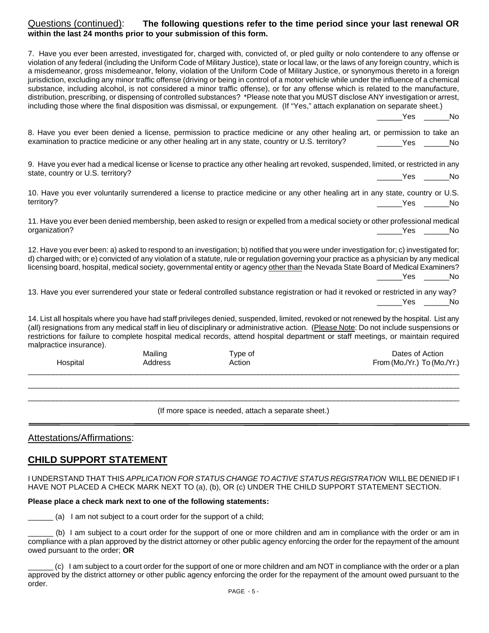#### Questions (continued): **The following questions refer to the time period since your last renewal OR within the last 24 months prior to your submission of this form.**

7. Have you ever been arrested, investigated for, charged with, convicted of, or pled guilty or nolo contendere to any offense or violation of any federal (including the Uniform Code of Military Justice), state or local law, or the laws of any foreign country, which is a misdemeanor, gross misdemeanor, felony, violation of the Uniform Code of Military Justice, or synonymous thereto in a foreign jurisdiction, excluding any minor traffic offense (driving or being in control of a motor vehicle while under the influence of a chemical substance, including alcohol, is not considered a minor traffic offense), or for any offense which is related to the manufacture, distribution, prescribing, or dispensing of controlled substances? \*Please note that you MUST disclose ANY investigation or arrest, including those where the final disposition was dismissal, or expungement. (If "Yes," attach explanation on separate sheet.)

Yes No

8. Have you ever been denied a license, permission to practice medicine or any other healing art, or permission to take an examination to practice medicine or any other healing art in any state, country or U.S. territory? \_\_\_\_\_\_Yes \_\_\_\_\_\_No

9. Have you ever had a medical license or license to practice any other healing art revoked, suspended, limited, or restricted in any state, country or U.S. territory? \_\_\_\_\_\_Yes \_\_\_\_\_\_No

10. Have you ever voluntarily surrendered a license to practice medicine or any other healing art in any state, country or U.S. territory? \_\_\_\_\_\_Yes \_\_\_\_\_\_No

11. Have you ever been denied membership, been asked to resign or expelled from a medical society or other professional medical organization? \_\_\_\_\_\_Yes \_\_\_\_\_\_No

12. Have you ever been: a) asked to respond to an investigation; b) notified that you were under investigation for; c) investigated for; d) charged with; or e) convicted of any violation of a statute, rule or regulation governing your practice as a physician by any medical licensing board, hospital, medical society, governmental entity or agency other than the Nevada State Board of Medical Examiners? \_\_\_\_\_\_Yes \_\_\_\_\_\_No

13. Have you ever surrendered your state or federal controlled substance registration or had it revoked or restricted in any way? \_\_\_\_\_\_Yes \_\_\_\_\_\_No

14. List all hospitals where you have had staff privileges denied, suspended, limited, revoked or not renewed by the hospital. List any (all) resignations from any medical staff in lieu of disciplinary or administrative action. (Please Note: Do not include suspensions or restrictions for failure to complete hospital medical records, attend hospital department or staff meetings, or maintain required malpractice insurance).

| Hospital | Mailing | Type of | Dates of Action             |
|----------|---------|---------|-----------------------------|
|          | Address | Action  | From (Mo./Yr.) To (Mo./Yr.) |
|          |         |         |                             |

\_\_\_\_\_\_\_\_\_\_\_\_\_\_\_\_\_\_\_\_\_\_\_\_\_\_\_\_\_\_\_\_\_\_\_\_\_\_\_\_\_\_\_\_\_\_\_\_\_\_\_\_\_\_\_\_\_\_\_\_\_\_\_\_\_\_\_\_\_\_\_\_\_\_\_\_\_\_\_\_\_\_\_\_\_\_\_\_\_\_\_\_\_\_\_\_\_\_\_\_\_\_\_\_\_\_ (If more space is needed, attach a separate sheet.)

#### Attestations/Affirmations:

#### **CHILD SUPPORT STATEMENT**

I UNDERSTAND THAT THIS *APPLICATION FOR STATUS CHANGE TO ACTIVE STATUS REGISTRATION* WILL BE DENIED IF I HAVE NOT PLACED A CHECK MARK NEXT TO (a), (b), OR (c) UNDER THE CHILD SUPPORT STATEMENT SECTION.

#### **Please place a check mark next to one of the following statements:**

(a) I am not subject to a court order for the support of a child;

\_\_\_\_\_\_ (b) I am subject to a court order for the support of one or more children and am in compliance with the order or am in compliance with a plan approved by the district attorney or other public agency enforcing the order for the repayment of the amount owed pursuant to the order; **OR**

\_\_\_\_\_\_ (c) I am subject to a court order for the support of one or more children and am NOT in compliance with the order or a plan approved by the district attorney or other public agency enforcing the order for the repayment of the amount owed pursuant to the order.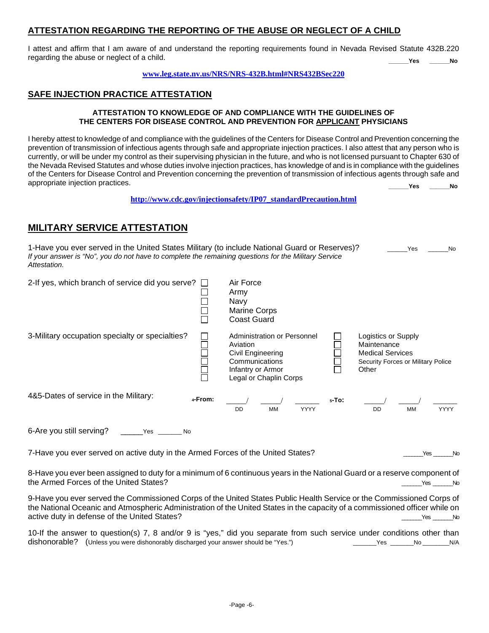#### **ATTESTATION REGARDING THE REPORTING OF THE ABUSE OR NEGLECT OF A CHILD**

I attest and affirm that I am aware of and understand the reporting requirements found in Nevada Revised Statute 432B.220 regarding the abuse or neglect of a child. **\_\_\_\_\_\_Yes \_\_\_\_\_\_No**

#### **[www.leg.state.nv.us/NRS/NRS-432B.html#NRS432BSec220](http://www.leg.state.nv.us/NRS/NRS-432B.html#NRS432BSec220)**

#### **SAFE INJECTION PRACTICE ATTESTATION**

#### **ATTESTATION TO KNOWLEDGE OF AND COMPLIANCE WITH THE GUIDELINES OF THE CENTERS FOR DISEASE CONTROL AND PREVENTION FOR APPLICANT PHYSICIANS**

I hereby attest to knowledge of and compliance with the guidelines of the Centers for Disease Control and Prevention concerning the prevention of transmission of infectious agents through safe and appropriate injection practices. I also attest that any person who is currently, or will be under my control as their supervising physician in the future, and who is not licensed pursuant to Chapter 630 of the Nevada Revised Statutes and whose duties involve injection practices, has knowledge of and is in compliance with the guidelines of the Centers for Disease Control and Prevention concerning the prevention of transmission of infectious agents through safe and appropriate injection practices. **\_\_\_\_\_\_Yes \_\_\_\_\_\_No**

**[http://www.cdc.gov/injectionsafety/IP07\\_standardPrecaution.html](http://www.cdc.gov/injectionsafety/IP07_standardPrecaution.html)**

### **MILITARY SERVICE ATTESTATION**

| 1-Have you ever served in the United States Military (to include National Guard or Reserves)?<br>If your answer is "No", you do not have to complete the remaining questions for the Military Service<br>Attestation. |         |                                                                                                                               |          | Yes<br><b>No</b>                                                                                             |
|-----------------------------------------------------------------------------------------------------------------------------------------------------------------------------------------------------------------------|---------|-------------------------------------------------------------------------------------------------------------------------------|----------|--------------------------------------------------------------------------------------------------------------|
| 2-If yes, which branch of service did you serve? $\Box$                                                                                                                                                               |         | Air Force<br>Army<br>Navy<br>Marine Corps<br><b>Coast Guard</b>                                                               |          |                                                                                                              |
| 3-Military occupation specialty or specialties?                                                                                                                                                                       |         | Administration or Personnel<br>Aviation<br>Civil Engineering<br>Communications<br>Infantry or Armor<br>Legal or Chaplin Corps |          | Logistics or Supply<br>Maintenance<br><b>Medical Services</b><br>Security Forces or Military Police<br>Other |
| 4&5-Dates of service in the Military:                                                                                                                                                                                 | 4-From: |                                                                                                                               | $5-TO$ : |                                                                                                              |

6-Are you still serving? \_\_\_\_\_Yes \_\_\_\_\_\_\_ No

7-Have you ever served on active duty in the Armed Forces of the United States? The Context of the United States of the United States?

DD MM YYYY DD MM YYYY

8-Have you ever been assigned to duty for a minimum of 6 continuous years in the National Guard or a reserve component of the Armed Forces of the United States?

9-Have you ever served the Commissioned Corps of the United States Public Health Service or the Commissioned Corps of the National Oceanic and Atmospheric Administration of the United States in the capacity of a commissioned officer while on active duty in defense of the United States? **All any of the United States** and the United States and the United States and the United States and the United States and the United States and the United States and the United

10-If the answer to question(s) 7, 8 and/or 9 is "yes," did you separate from such service under conditions other than dishonorable? (Unless you were dishonorably discharged your answer should be "Yes.") \_\_\_\_\_\_\_Yes \_\_\_\_\_\_\_No \_\_\_\_\_\_\_\_N/A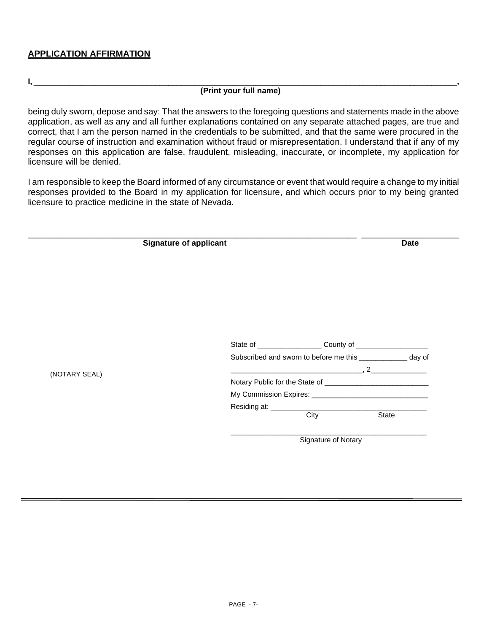#### **APPLICATION AFFIRMATION**

#### **I,** \_\_\_\_\_\_\_\_\_\_\_\_\_\_\_\_\_\_\_\_\_\_\_\_\_\_\_\_\_\_\_\_\_\_\_\_\_\_\_\_\_\_\_\_\_\_\_\_\_\_\_\_\_\_\_\_\_\_\_\_\_\_\_\_\_\_\_\_\_\_\_\_\_\_\_\_\_\_\_\_\_\_\_\_\_\_\_\_\_\_\_\_\_\_\_\_\_\_**, (Print your full name)**

being duly sworn, depose and say: That the answers to the foregoing questions and statements made in the above application, as well as any and all further explanations contained on any separate attached pages, are true and correct, that I am the person named in the credentials to be submitted, and that the same were procured in the regular course of instruction and examination without fraud or misrepresentation. I understand that if any of my responses on this application are false, fraudulent, misleading, inaccurate, or incomplete, my application for licensure will be denied.

I am responsible to keep the Board informed of any circumstance or event that would require a change to my initial responses provided to the Board in my application for licensure, and which occurs prior to my being granted licensure to practice medicine in the state of Nevada.

|               | <b>Signature of applicant</b><br><b>Date</b>                                                         |
|---------------|------------------------------------------------------------------------------------------------------|
|               |                                                                                                      |
|               |                                                                                                      |
|               |                                                                                                      |
|               |                                                                                                      |
|               |                                                                                                      |
|               | Subscribed and sworn to before me this ____________ day of                                           |
|               | $\overline{\phantom{a}}$ , 2 and 2 and 2 and 2 $\overline{\phantom{a}}$ , 2 $\overline{\phantom{a}}$ |
| (NOTARY SEAL) |                                                                                                      |
|               |                                                                                                      |
|               |                                                                                                      |
|               |                                                                                                      |
|               | City<br>State                                                                                        |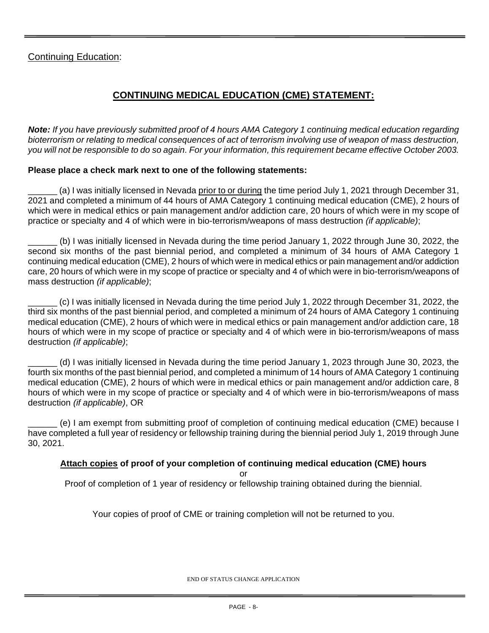## Continuing Education:

## **CONTINUING MEDICAL EDUCATION (CME) STATEMENT:**

*Note: If you have previously submitted proof of 4 hours AMA Category 1 continuing medical education regarding bioterrorism or relating to medical consequences of act of terrorism involving use of weapon of mass destruction, you will not be responsible to do so again. For your information, this requirement became effective October 2003.* 

#### **Please place a check mark next to one of the following statements:**

(a) I was initially licensed in Nevada prior to or during the time period July 1, 2021 through December 31, 2021 and completed a minimum of 44 hours of AMA Category 1 continuing medical education (CME), 2 hours of which were in medical ethics or pain management and/or addiction care, 20 hours of which were in my scope of practice or specialty and 4 of which were in bio-terrorism/weapons of mass destruction *(if applicable)*;

\_\_\_\_\_\_ (b) I was initially licensed in Nevada during the time period January 1, 2022 through June 30, 2022, the second six months of the past biennial period, and completed a minimum of 34 hours of AMA Category 1 continuing medical education (CME), 2 hours of which were in medical ethics or pain management and/or addiction care, 20 hours of which were in my scope of practice or specialty and 4 of which were in bio-terrorism/weapons of mass destruction *(if applicable)*;

\_\_\_\_\_\_ (c) I was initially licensed in Nevada during the time period July 1, 2022 through December 31, 2022, the third six months of the past biennial period, and completed a minimum of 24 hours of AMA Category 1 continuing medical education (CME), 2 hours of which were in medical ethics or pain management and/or addiction care, 18 hours of which were in my scope of practice or specialty and 4 of which were in bio-terrorism/weapons of mass destruction *(if applicable)*;

\_\_\_\_\_\_ (d) I was initially licensed in Nevada during the time period January 1, 2023 through June 30, 2023, the fourth six months of the past biennial period, and completed a minimum of 14 hours of AMA Category 1 continuing medical education (CME), 2 hours of which were in medical ethics or pain management and/or addiction care, 8 hours of which were in my scope of practice or specialty and 4 of which were in bio-terrorism/weapons of mass destruction *(if applicable)*, OR

\_\_\_\_\_\_ (e) I am exempt from submitting proof of completion of continuing medical education (CME) because I have completed a full year of residency or fellowship training during the biennial period July 1, 2019 through June 30, 2021.

#### **Attach copies of proof of your completion of continuing medical education (CME) hours**

or

Proof of completion of 1 year of residency or fellowship training obtained during the biennial.

Your copies of proof of CME or training completion will not be returned to you.

END OF STATUS CHANGE APPLICATION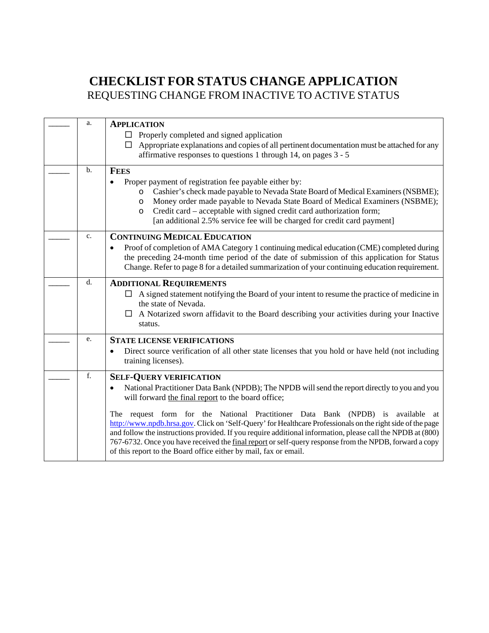# **CHECKLIST FOR STATUS CHANGE APPLICATION** REQUESTING CHANGE FROM INACTIVE TO ACTIVE STATUS

| a.  | <b>APPLICATION</b><br>$\Box$ Properly completed and signed application<br>Appropriate explanations and copies of all pertinent documentation must be attached for any<br>$\Box$<br>affirmative responses to questions 1 through 14, on pages $3 - 5$                                                                                                                                                                                                                                                                                                                                                                                                                                            |
|-----|-------------------------------------------------------------------------------------------------------------------------------------------------------------------------------------------------------------------------------------------------------------------------------------------------------------------------------------------------------------------------------------------------------------------------------------------------------------------------------------------------------------------------------------------------------------------------------------------------------------------------------------------------------------------------------------------------|
| $b$ | <b>FEES</b><br>Proper payment of registration fee payable either by:<br>$\bullet$<br>Cashier's check made payable to Nevada State Board of Medical Examiners (NSBME);<br>O<br>Money order made payable to Nevada State Board of Medical Examiners (NSBME);<br>$\circ$<br>Credit card – acceptable with signed credit card authorization form;<br>O<br>[an additional 2.5% service fee will be charged for credit card payment]                                                                                                                                                                                                                                                                  |
| c.  | <b>CONTINUING MEDICAL EDUCATION</b><br>Proof of completion of AMA Category 1 continuing medical education (CME) completed during<br>$\bullet$<br>the preceding 24-month time period of the date of submission of this application for Status<br>Change. Refer to page 8 for a detailed summarization of your continuing education requirement.                                                                                                                                                                                                                                                                                                                                                  |
| d.  | <b>ADDITIONAL REQUIREMENTS</b><br>$\Box$ A signed statement notifying the Board of your intent to resume the practice of medicine in<br>the state of Nevada.<br>A Notarized sworn affidavit to the Board describing your activities during your Inactive<br>status.                                                                                                                                                                                                                                                                                                                                                                                                                             |
| e.  | <b>STATE LICENSE VERIFICATIONS</b><br>Direct source verification of all other state licenses that you hold or have held (not including<br>training licenses).                                                                                                                                                                                                                                                                                                                                                                                                                                                                                                                                   |
| f.  | <b>SELF-QUERY VERIFICATION</b><br>National Practitioner Data Bank (NPDB); The NPDB will send the report directly to you and you<br>$\bullet$<br>will forward the final report to the board office;<br>The request form for the National Practitioner Data Bank (NPDB) is available at<br>http://www.npdb.hrsa.gov. Click on 'Self-Query' for Healthcare Professionals on the right side of the page<br>and follow the instructions provided. If you require additional information, please call the NPDB at (800)<br>767-6732. Once you have received the final report or self-query response from the NPDB, forward a copy<br>of this report to the Board office either by mail, fax or email. |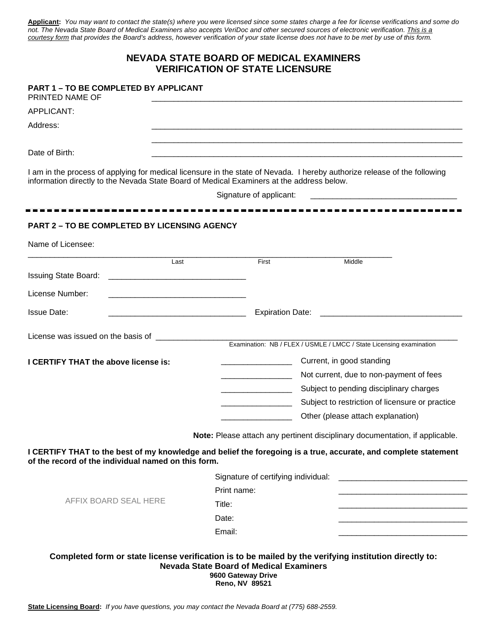**Applicant:** *You may want to contact the state(s) where you were licensed since some states charge a fee for license verifications and some do not. The Nevada State Board of Medical Examiners also accepts VeriDoc and other secured sources of electronic verification. This is a courtesy form that provides the Board's address, however verification of your state license does not have to be met by use of this form.*

#### **NEVADA STATE BOARD OF MEDICAL EXAMINERS VERIFICATION OF STATE LICENSURE**

#### **PART 1 – TO BE COMPLETED BY APPLICANT**

PRINTED NAME OF

APPLICANT:

Address: \_\_\_\_\_\_\_\_\_\_\_\_\_\_\_\_\_\_\_\_\_\_\_\_\_\_\_\_\_\_\_\_\_\_\_\_\_\_\_\_\_\_\_\_\_\_\_\_\_\_\_\_\_\_\_\_\_\_\_\_\_\_\_\_\_\_\_\_\_\_

Date of Birth: \_\_\_\_\_\_\_\_\_\_\_\_\_\_\_\_\_\_\_\_\_\_\_\_\_\_\_\_\_\_\_\_\_\_\_\_\_\_\_\_\_\_\_\_\_\_\_\_\_\_\_\_\_\_\_\_\_\_\_\_\_\_\_\_\_\_\_\_\_\_

I am in the process of applying for medical licensure in the state of Nevada. I hereby authorize release of the following information directly to the Nevada State Board of Medical Examiners at the address below.

Signature of applicant:

**- - - - - - - - - - - - - - - - - - - - - - - - - - - - - - - - - - - - - - - - - - - - - - - - - - - - - - - - - - - - -**

\_\_\_\_\_\_\_\_\_\_\_\_\_\_\_\_\_\_\_\_\_\_\_\_\_\_\_\_\_\_\_\_\_\_\_\_\_\_\_\_\_\_\_\_\_\_\_\_\_\_\_\_\_\_\_\_\_\_\_\_\_\_\_\_\_\_\_\_\_\_

\_\_\_\_\_\_\_\_\_\_\_\_\_\_\_\_\_\_\_\_\_\_\_\_\_\_\_\_\_\_\_\_\_\_\_\_\_\_\_\_\_\_\_\_\_\_\_\_\_\_\_\_\_\_\_\_\_\_\_\_\_\_\_\_\_\_\_\_\_\_

## **PART 2 – TO BE COMPLETED BY LICENSING AGENCY**

| Name of Licensee:                                   |      |                                                                                             |                                                                                                                 |  |
|-----------------------------------------------------|------|---------------------------------------------------------------------------------------------|-----------------------------------------------------------------------------------------------------------------|--|
|                                                     | Last | First                                                                                       | Middle                                                                                                          |  |
|                                                     |      |                                                                                             |                                                                                                                 |  |
| License Number:                                     |      |                                                                                             |                                                                                                                 |  |
| <b>Issue Date:</b>                                  |      |                                                                                             |                                                                                                                 |  |
|                                                     |      |                                                                                             |                                                                                                                 |  |
|                                                     |      |                                                                                             |                                                                                                                 |  |
| I CERTIFY THAT the above license is:                |      |                                                                                             | Current, in good standing                                                                                       |  |
|                                                     |      |                                                                                             | Not current, due to non-payment of fees                                                                         |  |
|                                                     |      |                                                                                             | Subject to pending disciplinary charges                                                                         |  |
|                                                     |      | Subject to restriction of licensure or practice                                             |                                                                                                                 |  |
|                                                     |      | Other (please attach explanation)                                                           |                                                                                                                 |  |
|                                                     |      |                                                                                             | Note: Please attach any pertinent disciplinary documentation, if applicable.                                    |  |
| of the record of the individual named on this form. |      |                                                                                             | I CERTIFY THAT to the best of my knowledge and belief the foregoing is a true, accurate, and complete statement |  |
|                                                     |      | Signature of certifying individual:<br><u> 2000 - Jan Barnett, fransk politik (d. 1888)</u> |                                                                                                                 |  |
|                                                     |      | Print name:                                                                                 |                                                                                                                 |  |
| AFFIX BOARD SEAL HERE                               |      | Title:                                                                                      |                                                                                                                 |  |
|                                                     |      | Date:                                                                                       |                                                                                                                 |  |
|                                                     |      | Email:                                                                                      |                                                                                                                 |  |
|                                                     |      |                                                                                             |                                                                                                                 |  |
|                                                     |      | <b>Nevada State Board of Medical Examiners</b>                                              | Completed form or state license verification is to be mailed by the verifying institution directly to:          |  |

**State Licensing Board:** *If you have questions, you may contact the Nevada Board at (775) 688-2559.*